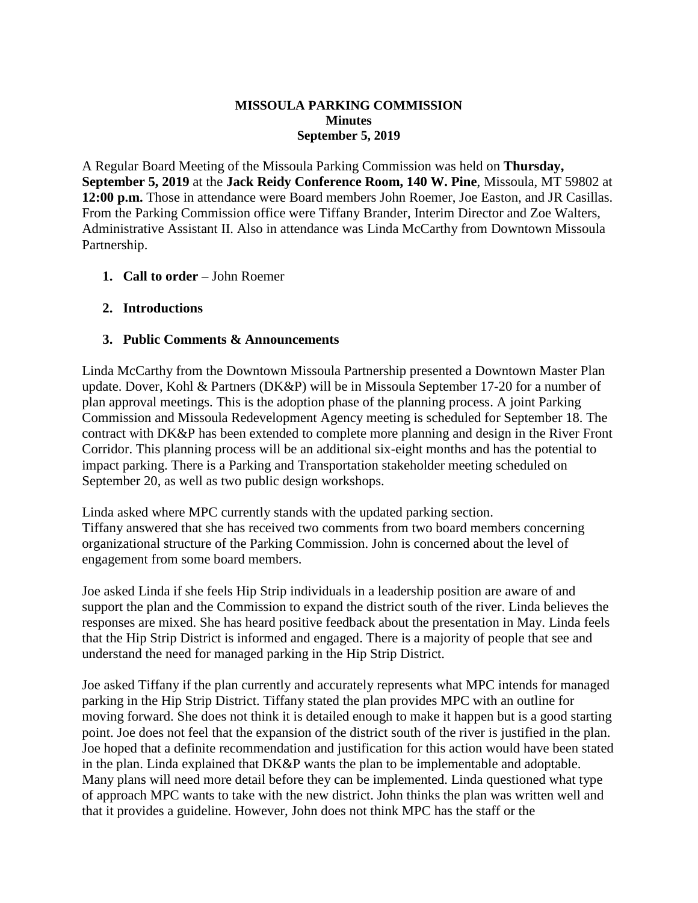### **MISSOULA PARKING COMMISSION Minutes September 5, 2019**

A Regular Board Meeting of the Missoula Parking Commission was held on **Thursday, September 5, 2019** at the **Jack Reidy Conference Room, 140 W. Pine**, Missoula, MT 59802 at **12:00 p.m.** Those in attendance were Board members John Roemer, Joe Easton, and JR Casillas. From the Parking Commission office were Tiffany Brander, Interim Director and Zoe Walters, Administrative Assistant II. Also in attendance was Linda McCarthy from Downtown Missoula Partnership.

## **1. Call to order** – John Roemer

### **2. Introductions**

### **3. Public Comments & Announcements**

Linda McCarthy from the Downtown Missoula Partnership presented a Downtown Master Plan update. Dover, Kohl & Partners (DK&P) will be in Missoula September 17-20 for a number of plan approval meetings. This is the adoption phase of the planning process. A joint Parking Commission and Missoula Redevelopment Agency meeting is scheduled for September 18. The contract with DK&P has been extended to complete more planning and design in the River Front Corridor. This planning process will be an additional six-eight months and has the potential to impact parking. There is a Parking and Transportation stakeholder meeting scheduled on September 20, as well as two public design workshops.

Linda asked where MPC currently stands with the updated parking section. Tiffany answered that she has received two comments from two board members concerning organizational structure of the Parking Commission. John is concerned about the level of engagement from some board members.

Joe asked Linda if she feels Hip Strip individuals in a leadership position are aware of and support the plan and the Commission to expand the district south of the river. Linda believes the responses are mixed. She has heard positive feedback about the presentation in May. Linda feels that the Hip Strip District is informed and engaged. There is a majority of people that see and understand the need for managed parking in the Hip Strip District.

Joe asked Tiffany if the plan currently and accurately represents what MPC intends for managed parking in the Hip Strip District. Tiffany stated the plan provides MPC with an outline for moving forward. She does not think it is detailed enough to make it happen but is a good starting point. Joe does not feel that the expansion of the district south of the river is justified in the plan. Joe hoped that a definite recommendation and justification for this action would have been stated in the plan. Linda explained that DK&P wants the plan to be implementable and adoptable. Many plans will need more detail before they can be implemented. Linda questioned what type of approach MPC wants to take with the new district. John thinks the plan was written well and that it provides a guideline. However, John does not think MPC has the staff or the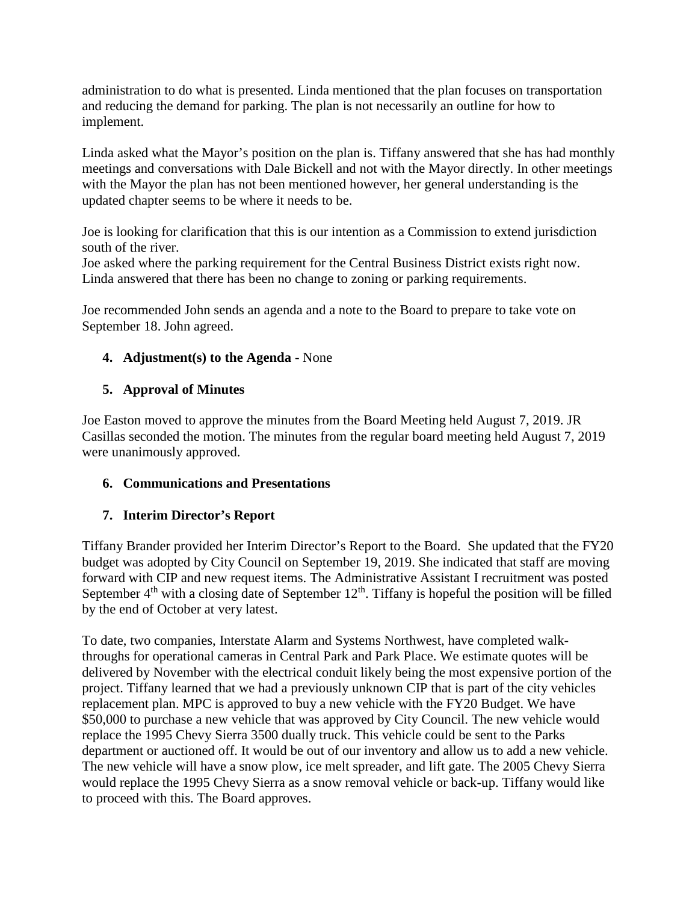administration to do what is presented. Linda mentioned that the plan focuses on transportation and reducing the demand for parking. The plan is not necessarily an outline for how to implement.

Linda asked what the Mayor's position on the plan is. Tiffany answered that she has had monthly meetings and conversations with Dale Bickell and not with the Mayor directly. In other meetings with the Mayor the plan has not been mentioned however, her general understanding is the updated chapter seems to be where it needs to be.

Joe is looking for clarification that this is our intention as a Commission to extend jurisdiction south of the river.

Joe asked where the parking requirement for the Central Business District exists right now. Linda answered that there has been no change to zoning or parking requirements.

Joe recommended John sends an agenda and a note to the Board to prepare to take vote on September 18. John agreed.

# **4. Adjustment(s) to the Agenda** - None

# **5. Approval of Minutes**

Joe Easton moved to approve the minutes from the Board Meeting held August 7, 2019. JR Casillas seconded the motion. The minutes from the regular board meeting held August 7, 2019 were unanimously approved.

## **6. Communications and Presentations**

# **7. Interim Director's Report**

Tiffany Brander provided her Interim Director's Report to the Board. She updated that the FY20 budget was adopted by City Council on September 19, 2019. She indicated that staff are moving forward with CIP and new request items. The Administrative Assistant I recruitment was posted September  $4<sup>th</sup>$  with a closing date of September 12<sup>th</sup>. Tiffany is hopeful the position will be filled by the end of October at very latest.

To date, two companies, Interstate Alarm and Systems Northwest, have completed walkthroughs for operational cameras in Central Park and Park Place. We estimate quotes will be delivered by November with the electrical conduit likely being the most expensive portion of the project. Tiffany learned that we had a previously unknown CIP that is part of the city vehicles replacement plan. MPC is approved to buy a new vehicle with the FY20 Budget. We have \$50,000 to purchase a new vehicle that was approved by City Council. The new vehicle would replace the 1995 Chevy Sierra 3500 dually truck. This vehicle could be sent to the Parks department or auctioned off. It would be out of our inventory and allow us to add a new vehicle. The new vehicle will have a snow plow, ice melt spreader, and lift gate. The 2005 Chevy Sierra would replace the 1995 Chevy Sierra as a snow removal vehicle or back-up. Tiffany would like to proceed with this. The Board approves.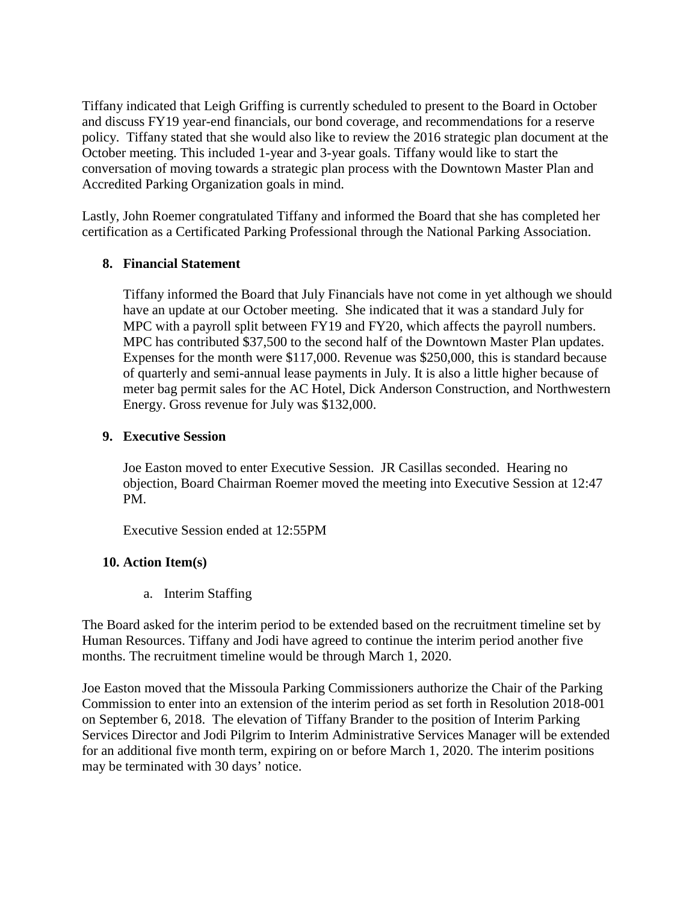Tiffany indicated that Leigh Griffing is currently scheduled to present to the Board in October and discuss FY19 year-end financials, our bond coverage, and recommendations for a reserve policy. Tiffany stated that she would also like to review the 2016 strategic plan document at the October meeting. This included 1-year and 3-year goals. Tiffany would like to start the conversation of moving towards a strategic plan process with the Downtown Master Plan and Accredited Parking Organization goals in mind.

Lastly, John Roemer congratulated Tiffany and informed the Board that she has completed her certification as a Certificated Parking Professional through the National Parking Association.

## **8. Financial Statement**

Tiffany informed the Board that July Financials have not come in yet although we should have an update at our October meeting. She indicated that it was a standard July for MPC with a payroll split between FY19 and FY20, which affects the payroll numbers. MPC has contributed \$37,500 to the second half of the Downtown Master Plan updates. Expenses for the month were \$117,000. Revenue was \$250,000, this is standard because of quarterly and semi-annual lease payments in July. It is also a little higher because of meter bag permit sales for the AC Hotel, Dick Anderson Construction, and Northwestern Energy. Gross revenue for July was \$132,000.

### **9. Executive Session**

Joe Easton moved to enter Executive Session. JR Casillas seconded. Hearing no objection, Board Chairman Roemer moved the meeting into Executive Session at 12:47 PM.

Executive Session ended at 12:55PM

## **10. Action Item(s)**

a. Interim Staffing

The Board asked for the interim period to be extended based on the recruitment timeline set by Human Resources. Tiffany and Jodi have agreed to continue the interim period another five months. The recruitment timeline would be through March 1, 2020.

Joe Easton moved that the Missoula Parking Commissioners authorize the Chair of the Parking Commission to enter into an extension of the interim period as set forth in Resolution 2018-001 on September 6, 2018. The elevation of Tiffany Brander to the position of Interim Parking Services Director and Jodi Pilgrim to Interim Administrative Services Manager will be extended for an additional five month term, expiring on or before March 1, 2020. The interim positions may be terminated with 30 days' notice.